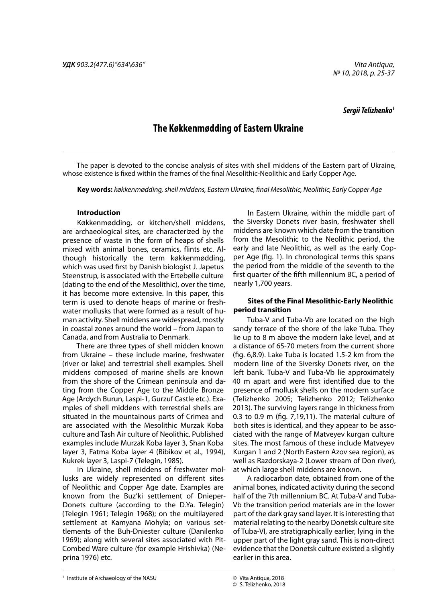*Vita Antiqua, № 10, 2018, p. 25-37*

## *Sergii Telizhenko1*

# **The Køkkenmødding of Eastern Ukraine**

The paper is devoted to the concise analysis of sites with shell middens of the Eastern part of Ukraine, whose existence is fixed within the frames of the final Mesolithic-Neolithic and Early Copper Age.

**Key words:** *køkkenmødding, shell middens, Eastern Ukraine, final Mesolithic, Neolithic, Early Copper Age*

## **Introduction**

Køkkenmødding, or kitchen/shell middens, are archaeological sites, are characterized by the presence of waste in the form of heaps of shells mixed with animal bones, ceramics, flints etc. Although historically the term køkkenmødding, which was used first by Danish biologist J. Japetus Steenstrup, is associated with the Ertebølle culture (dating to the end of the Mesolithic), over the time, it has become more extensive. In this paper, this term is used to denote heaps of marine or freshwater mollusks that were formed as a result of human activity. Shell middens are widespread, mostly in coastal zones around the world – from Japan to Canada, and from Australia to Denmark.

There are three types of shell midden known from Ukraine – these include marine, freshwater (river or lake) and terrestrial shell examples. Shell middens composed of marine shells are known from the shore of the Crimean peninsula and dating from the Copper Age to the Middle Bronze Age (Ardych Burun, Laspi-1, Gurzuf Castle etc.). Examples of shell middens with terrestrial shells are situated in the mountainous parts of Crimea and are associated with the Mesolithic Murzak Koba culture and Tash Air culture of Neolithic. Published examples include Murzak Koba layer 3, Shan Koba layer 3, Fatma Koba layer 4 (Bibikov et al., 1994), Kukrek layer 3, Laspi-7 (Telegin, 1985).

In Ukraine, shell middens of freshwater mollusks are widely represented on different sites of Neolithic and Copper Age date. Examples are known from the Buz'ki settlement of Dnieper-Donets culture (according to the D.Ya. Telegin) (Telegin 1961; Telegin 1968); on the multilayered settlement at Kamyana Mohyla; on various settlements of the Buh-Dniester culture (Danilenko 1969); along with several sites associated with Pit-Combed Ware culture (for example Hrishivka) (Neprina 1976) etc.

In Eastern Ukraine, within the middle part of the Siversky Donets river basin, freshwater shell middens are known which date from the transition from the Mesolithic to the Neolithic period, the early and late Neolithic, as well as the early Copper Age (fig. 1). In chronological terms this spans the period from the middle of the seventh to the first quarter of the fifth millennium BC, a period of nearly 1,700 years.

## **Sites of the Final Mesolithic-Early Neolithic period transition**

Tuba-V and Tuba-Vb are located on the high sandy terrace of the shore of the lake Tuba. They lie up to 8 m above the modern lake level, and at a distance of 65-70 meters from the current shore (fig. 6,8.9). Lake Tuba is located 1.5-2 km from the modern line of the Siversky Donets river, on the left bank. Tuba-V and Tuba-Vb lie approximately 40 m apart and were first identified due to the presence of mollusk shells on the modern surface (Telizhenko 2005; Telizhenko 2012; Telizhenko 2013). The surviving layers range in thickness from 0.3 to 0.9 m (fig. 7,19,11). The material culture of both sites is identical, and they appear to be associated with the range of Matveyev kurgan culture sites. The most famous of these include Matveyev Kurgan 1 and 2 (North Eastern Azov sea region), as well as Razdorskaya-2 (Lower stream of Don river), at which large shell middens are known.

A radiocarbon date, obtained from one of the animal bones, indicated activity during the second half of the 7th millennium BC. At Tuba-V and Tuba-Vb the transition period materials are in the lower part of the dark gray sand layer. It is interesting that material relating to the nearby Donetsk culture site of Tuba-VI, are stratigraphically earlier, lying in the upper part of the light gray sand. This is non-direct evidence that the Donetsk culture existed a slightly earlier in this area.

**<sup>1</sup>** Institute of Archaeology of the NASU **ISSN 2018** © Vita Antiqua, 2018

<sup>©</sup> Vita Antiqua, 2018

<sup>©</sup> S. Telizhenko, 2018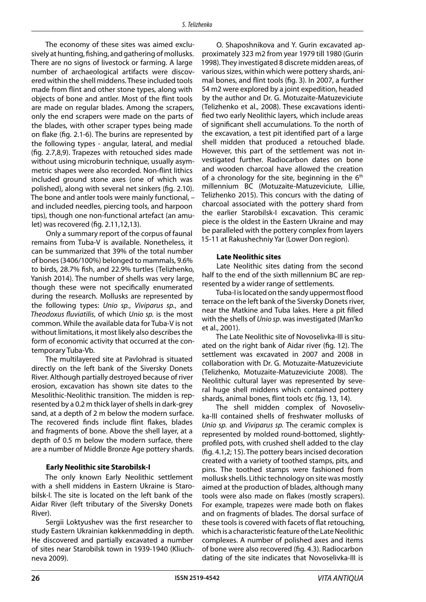The economy of these sites was aimed exclusively at hunting, fishing, and gathering of mollusks. There are no signs of livestock or farming. A large number of archaeological artifacts were discovered within the shell middens. These included tools made from flint and other stone types, along with objects of bone and antler. Most of the flint tools are made on regular blades. Among the scrapers, only the end scrapers were made on the parts of the blades, with other scraper types being made on flake (fig. 2.1-6). The burins are represented by the following types - angular, lateral, and medial (fig. 2.7,8,9). Trapezes with retouched sides made without using microburin technique, usually asymmetric shapes were also recorded. Non-flint lithics included ground stone axes (one of which was polished), along with several net sinkers (fig. 2.10). The bone and antler tools were mainly functional, – and included needles, piercing tools, and harpoon tips), though one non-functional artefact (an amulet) was recovered (fig. 2.11,12,13).

Only a summary report of the corpus of faunal remains from Tuba-V is available. Nonetheless, it can be summarized that 39% of the total number of bones (3406/100%) belonged to mammals, 9.6% to birds, 28.7% fish, and 22.9% turtles (Telizhenko, Yanish 2014). The number of shells was very large, though these were not specifically enumerated during the research. Mollusks are represented by the following types: *Unio sp.*, *Viviparus sp.*, and *Theodoxus fluviatilis*, of which *Unio sp.* is the most common. While the available data for Tuba-V is not without limitations, it most likely also describes the form of economic activity that occurred at the contemporary Tuba-Vb.

The multilayered site at Pavlohrad is situated directly on the left bank of the Siversky Donets River. Although partially destroyed because of river erosion, excavation has shown site dates to the Mesolithic-Neolithic transition. The midden is represented by a 0.2 m thick layer of shells in dark-grey sand, at a depth of 2 m below the modern surface. The recovered finds include flint flakes, blades and fragments of bone. Above the shell layer, at a depth of 0.5 m below the modern surface, there are a number of Middle Bronze Age pottery shards.

## **Early Neolithic site Starobilsk-I**

The only known Early Neolithic settlement with a shell middens in Eastern Ukraine is Starobilsk-I. The site is located on the left bank of the Aidar River (left tributary of the Siversky Donets River).

Sergii Loktyushev was the first researcher to study Eastern Ukrainian køkkenmødding in depth. He discovered and partially excavated a number of sites near Starobilsk town in 1939-1940 (Kliuchneva 2009).

O. Shaposhnikova and Y. Gurin excavated approximately 323 m2 from year 1979 till 1980 (Gurin 1998). They investigated 8 discrete midden areas, of various sizes, within which were pottery shards, animal bones, and flint tools (fig. 3). In 2007, a further 54 m2 were explored by a joint expedition, headed by the author and Dr. G. Motuzaite-Matuzeviciute (Telizhenko et al., 2008). These excavations identified two early Neolithic layers, which include areas of significant shell accumulations. To the north of the excavation, a test pit identified part of a large shell midden that produced a retouched blade. However, this part of the settlement was not investigated further. Radiocarbon dates on bone and wooden charcoal have allowed the creation of a chronology for the site, beginning in the  $6<sup>th</sup>$ millennium BC (Motuzaite-Matuzeviciute, Lillie, Telizhenko 2015). This concurs with the dating of charcoal associated with the pottery shard from the earlier Starobilsk-I excavation. This ceramic piece is the oldest in the Eastern Ukraine and may be paralleled with the pottery complex from layers 15-11 at Rakushechniy Yar (Lower Don region).

#### **Late Neolithic sites**

Late Neolithic sites dating from the second half to the end of the sixth millennium BC are represented by a wider range of settlements.

Tuba-I is located on the sandy uppermost flood terrace on the left bank of the Siversky Donets river, near the Matkine and Tuba lakes. Here a pit filled with the shells of *Unio sp*. was investigated (Man'ko et al., 2001).

The Late Neolithic site of Novoselivka-III is situated on the right bank of Aidar river (fig. 12). The settlement was excavated in 2007 and 2008 in collaboration with Dr. G. Motuzaite-Matuzeviciute (Telizhenko, Motuzaite-Matuzeviciute 2008). The Neolithic cultural layer was represented by several huge shell middens which contained pottery shards, animal bones, flint tools etc (fig. 13, 14).

The shell midden complex of Novoselivka-III contained shells of freshwater mollusks of *Unio sp.* and *Viviparus sp.* The ceramic complex is represented by molded round-bottomed, slightlyprofiled pots, with crushed shell added to the clay (fig. 4.1,2; 15). The pottery bears incised decoration created with a variety of toothed stamps, pits, and pins. The toothed stamps were fashioned from mollusk shells. Lithic technology on site was mostly aimed at the production of blades, although many tools were also made on flakes (mostly scrapers). For example, trapezes were made both on flakes and on fragments of blades. The dorsal surface of these tools is covered with facets of flat retouching, which is a characteristic feature of the Late Neolithic complexes. A number of polished axes and items of bone were also recovered (fig. 4.3). Radiocarbon dating of the site indicates that Novoselivka-III is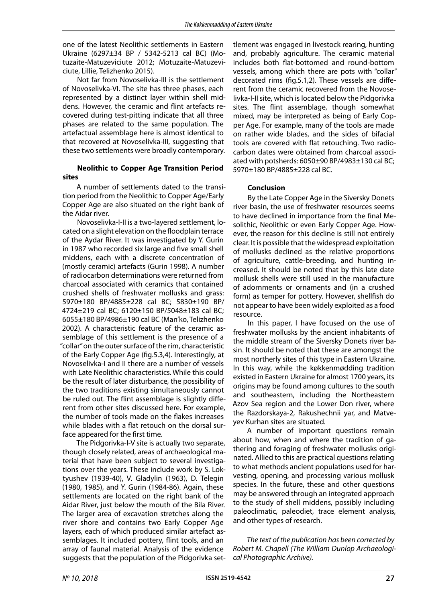one of the latest Neolithic settlements in Eastern Ukraine (6297±34 BP / 5342-5213 cal BC) (Motuzaite-Matuzeviciute 2012; Motuzaite-Matuzeviciute, Lillie, Telizhenko 2015).

Not far from Novoselivka-III is the settlement of Novoselivka-VI. The site has three phases, each represented by a distinct layer within shell middens. However, the ceramic and flint artefacts recovered during test-pitting indicate that all three phases are related to the same population. The artefactual assemblage here is almost identical to that recovered at Novoselivka-III, suggesting that these two settlements were broadly contemporary.

## **Neolithic to Copper Age Transition Period sites**

A number of settlements dated to the transition period from the Neolithic to Copper Age/Early Copper Age are also situated on the right bank of the Aidar river.

Novoselivka-I-II is a two-layered settlement, located on a slight elevation on the floodplain terrace of the Aydar River. It was investigated by Y. Gurin in 1987 who recorded six large and five small shell middens, each with a discrete concentration of (mostly ceramic) artefacts (Gurin 1998). A number of radiocarbon determinations were returned from charcoal associated with ceramics that contained crushed shells of freshwater mollusks and grass: 5970±180 BP/4885±228 cal BC; 5830±190 BP/ 4724±219 cal BC; 6120±150 BP/5048±183 cal BC; 6055±180 BP/4986±190 cal BC (Man'ko, Telizhenko 2002). A characteristic feature of the ceramic assemblage of this settlement is the presence of a "collar" on the outer surface of the rim, characteristic of the Early Copper Age (fig.5.3,4). Interestingly, at Novoselіvka-I and II there are a number of vessels with Late Neolithic characteristics. While this could be the result of later disturbance, the possibility of the two traditions existing simultaneously cannot be ruled out. The flint assemblage is slightly different from other sites discussed here. For example, the number of tools made on the flakes increases while blades with a flat retouch on the dorsal surface appeared for the first time.

The Pidgorivka-I-V site is actually two separate, though closely related, areas of archaeological material that have been subject to several investigations over the years. These include work by S. Loktyushev (1939-40), V. Gladylin (1963), D. Telegin (1980, 1985), and Y. Gurin (1984-86). Again, these settlements are located on the right bank of the Aidar River, just below the mouth of the Bila River. The larger area of excavation stretches along the river shore and contains two Early Copper Age layers, each of which produced similar artefact assemblages. It included pottery, flint tools, and an array of faunal material. Analysis of the evidence suggests that the population of the Pidgorivka settlement was engaged in livestock rearing, hunting and, probably agriculture. The ceramic material includes both flat-bottomed and round-bottom vessels, among which there are pots with "collar" decorated rims (fig.5.1,2). These vessels are different from the ceramic recovered from the Novoselivka-I-II site, which is located below the Pidgorivka sites. The flint assemblage, though somewhat mixed, may be interpreted as being of Early Copper Age. For example, many of the tools are made on rather wide blades, and the sides of bifacial tools are covered with flat retouching. Two radiocarbon dates were obtained from charcoal associated with potsherds: 6050±90 BP/4983±130 cal BC; 5970±180 BP/4885±228 cal BC.

## **Conclusion**

By the Late Copper Age in the Siversky Donets river basin, the use of freshwater resources seems to have declined in importance from the final Mesolithic, Neolithic or even Early Copper Age. However, the reason for this decline is still not entirely clear. It is possible that the widespread exploitation of mollusks declined as the relative proportions of agriculture, cattle-breeding, and hunting increased. It should be noted that by this late date mollusk shells were still used in the manufacture of adornments or ornaments and (in a crushed form) as temper for pottery. However, shellfish do not appear to have been widely exploited as a food resource.

In this paper, I have focused on the use of freshwater mollusks by the ancient inhabitants of the middle stream of the Siversky Donets river basin. It should be noted that these are amongst the most northerly sites of this type in Eastern Ukraine. In this way, while the køkkenmødding tradition existed in Eastern Ukraine for almost 1700 years, its origins may be found among cultures to the south and southeastern, including the Northeastern Azov Sea region and the Lower Don river, where the Razdorskaya-2, Rakushechnii yar, and Matveyev Kurhan sites are situated.

A number of important questions remain about how, when and where the tradition of gathering and foraging of freshwater mollusks originated. Allied to this are practical questions relating to what methods ancient populations used for harvesting, opening, and processing various mollusk species. In the future, these and other questions may be answered through an integrated approach to the study of shell middens, possibly including paleoclimatic, paleodiet, trace element analysis, and other types of research.

*The text of the publication has been corrected by Robert M. Chapell (The William Dunlop Archaeological Photographic Archive).*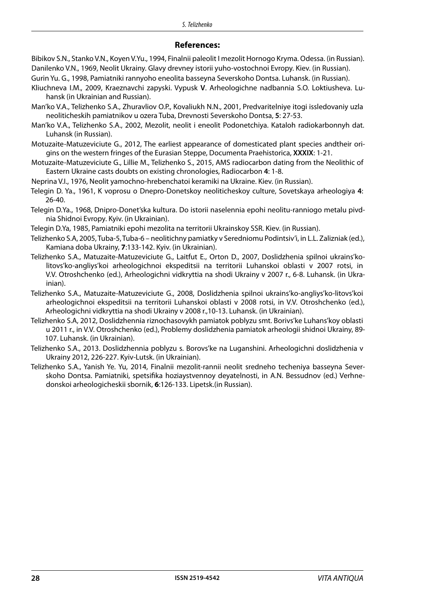## **References:**

- Bibikov S.N., Stanko V.N., Koyen V.Yu., 1994, Finalnii paleolit I mezolit Hornogo Kryma. Odessa. (in Russian). Danilenko V.N., 1969, Neolit Ukrainy. Glavy drevney istorii yuho-vostochnoi Evropy. Kiev. (in Russian).
- Gurin Yu. G., 1998, Pamiatniki rannyoho eneolita basseyna Severskoho Dontsa. Luhansk. (in Russian).
- Kliuchneva I.M., 2009, Kraeznavchi zapyski. Vypusk **V**. Arheologichne nadbannia S.O. Loktiusheva. Luhansk (in Ukrainian and Russian).
- Man'ko V.A., Telizhenko S.A., Zhuravliov O.P., Kovaliukh N.N., 2001, Predvaritelniye itogi issledovaniy uzla neoliticheskih pamiatnikov u ozera Tuba, Drevnosti Severskoho Dontsa, **5**: 27-53.
- Man'ko V.A., Telizhenko S.A., 2002, Mezolit, neolit i eneolit Podonetchiya. Kataloh radiokarbonnyh dat. Luhansk (in Russian).
- Motuzaite-Matuzeviciute G., 2012, The earliest appearance of domesticated plant species andtheir origins on the western fringes of the Eurasian Steppe, Documenta Praehistorica, **XXXIX**: 1-21.
- Motuzaite-Matuzeviciute G., Lillie M., Telizhenko S., 2015, AMS radiocarbon dating from the Neolithic of Eastern Ukraine casts doubts on existing chronologies, Radiocarbon **4**: 1-8.
- Neprina V.I., 1976, Neolit yamochno-hrebenchatoi keramiki na Ukraine. Kiev. (in Russian).
- Telegin D. Ya., 1961, K voprosu o Dnepro-Donetskoy neoliticheskoy culture, Sovetskaya arheologiya **4**: 26-40.
- Telegin D.Ya., 1968, Dnipro-Donet'ska kultura. Do istorii naselennia epohi neolitu-ranniogo metalu pivdnia Shidnoi Evropy. Kyiv. (in Ukrainian).
- Telegin D.Ya, 1985, Pamiatniki epohi mezolita na territorii Ukrainskoy SSR. Kiev. (in Russian).
- Telizhenko S.A, 2005, Tuba-5, Tuba-6 neolitichny pamiatky v Seredniomu Podintsiv'i, in L.L. Zalizniak (ed.), Kamiana doba Ukrainy, **7**:133-142. Kyiv. (in Ukrainian).
- Telizhenko S.A., Matuzaite-Matuzeviciute G., Laitfut E., Orton D., 2007, Doslidzhenia spilnoi ukrains'kolitovs'ko-angliys'koi arheologichnoi ekspeditsii na territorii Luhanskoi oblasti v 2007 rotsi, in V.V. Otroshchenko (ed.), Arheologichni vidkryttia na shodi Ukrainy v 2007 r., 6-8. Luhansk. (in Ukrainian).
- Telizhenko S.A., Matuzaite-Matuzeviciute G., 2008, Doslidzhenia spilnoi ukrains'ko-angliys'ko-litovs'koi arheologichnoi ekspeditsii na territorii Luhanskoi oblasti v 2008 rotsi, in V.V. Otroshchenko (ed.), Arheologichni vidkryttia na shodi Ukrainy v 2008 r.,10-13. Luhansk. (in Ukrainian).
- Telizhenko S.A, 2012, Doslidzhennia riznochasovykh pamiatok poblyzu smt. Borivs'ke Luhans'koy oblasti u 2011 r., in V.V. Otroshchenko (ed.), Problemy doslidzhenia pamiatok arheologii shidnoi Ukrainy, 89- 107. Luhansk. (in Ukrainian).
- Telizhenko S.A., 2013. Doslidzhennia poblyzu s. Borovs'ke na Luganshini. Arheologichni doslidzhenia v Ukrainy 2012, 226-227. Kyiv-Lutsk. (in Ukrainian).
- Telizhenko S.A., Yanish Ye. Yu, 2014, Finalnii mezolit-rannii neolit sredneho techeniya basseyna Severskoho Dontsa. Pamiatniki, spetsifika hoziaystvennoy deyatelnosti, in A.N. Bessudnov (ed.) Verhnedonskoi arheologicheskii sbornik, **6**:126-133. Lipetsk.(in Russian).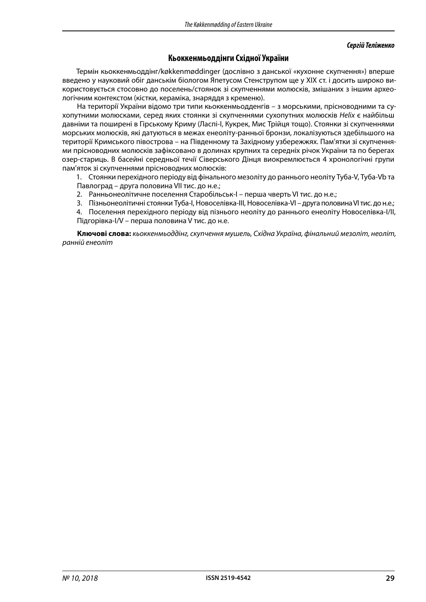#### *Сергій Теліженко*

# **Кьоккенмьоддінги Східної України**

Термін кьоккенмьоддінг/køkkenmøddinger (дослівно з данської «кухонне скупчення») вперше введено у науковий обіг данськім біологом Япетусом Стенструпом ще у ХІХ ст. і досить широко використовується стосовно до поселень/стоянок зі скупченнями молюсків, змішаних з іншим археологічним контекстом (кістки, кераміка, знаряддя з кременю).

На території України відомо три типи кьоккенмьодденгів – з морськими, прісноводними та сухопутними молюсками, серед яких стоянки зі скупченнями сухопутних молюсків *Helix* є найбільш давніми та поширені в Гірському Криму (Ласпі-І, Кукрек, Мис Трійця тощо). Стоянки зі скупченнями морських молюсків, які датуються в межах енеоліту-ранньої бронзи, локалізуються здебільшого на території Кримського півострова – на Південному та Західному узбережжях. Пам'ятки зі скупченнями прісноводних молюсків зафіксовано в долинах крупних та середніх річок України та по берегах озер-стариць. В басейні середньої течії Сіверського Дінця виокремлюється 4 хронологічні групи пам'яток зі скупченнями прісноводних молюсків:

1. Стоянки перехідного періоду від фінального мезоліту до раннього неоліту Туба-V, Туба-Vb та Павлоград – друга половина VII тис. до н.е.;

- 2. Ранньонеолітичне поселення Старобільськ-І перша чверть VI тис. до н.е.;
- 3. Пізньонеолітичні стоянки Туба-І, Новоселівка-ІІІ, Новоселівка-VІ друга половина VІ тис. до н.е.;

4. Поселення перехідного періоду від пізнього неоліту до раннього енеоліту Новоселівка-І/ІІ, Підгорівка-І/V – перша половина V тис. до н.е.

**Ключові слова:** *кьоккенмьоддінг, скупчення мушель, Східна Україна, фінальний мезоліт, неоліт, ранній енеоліт*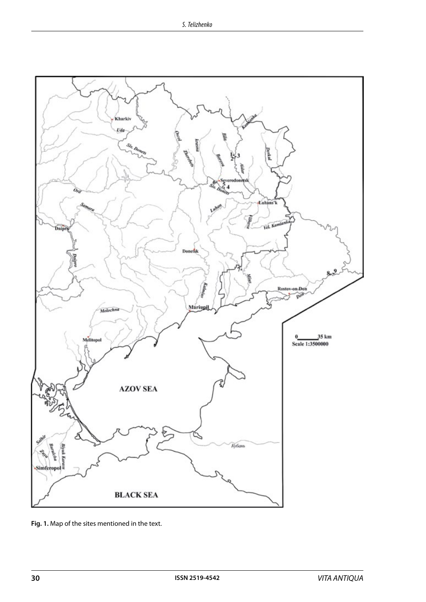

**Fig. 1.** Map of the sites mentioned in the text.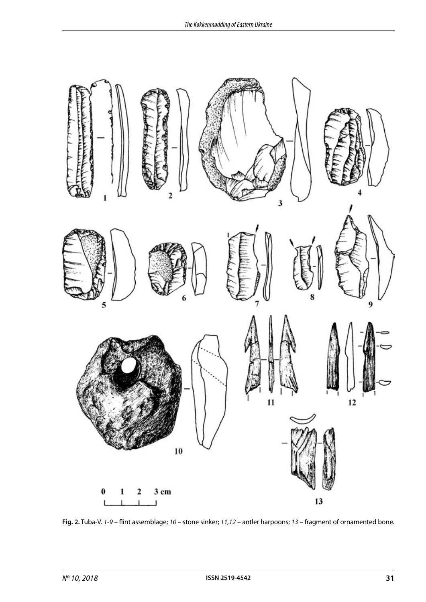

**Fig. 2.** Tuba-V. *1-9* – flint assemblage; *10* – stone sinker; *11,12* – antler harpoons; *13* – fragment of ornamented bone.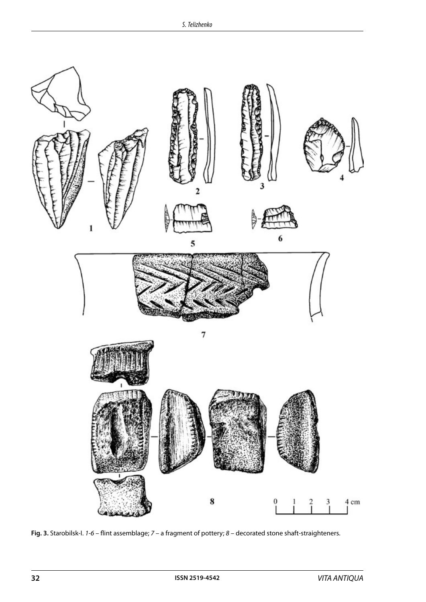

**Fig. 3.** Starobilsk-I. *1-6* – flint assemblage; *7* – a fragment of pottery; *8* – decorated stone shaft-straighteners.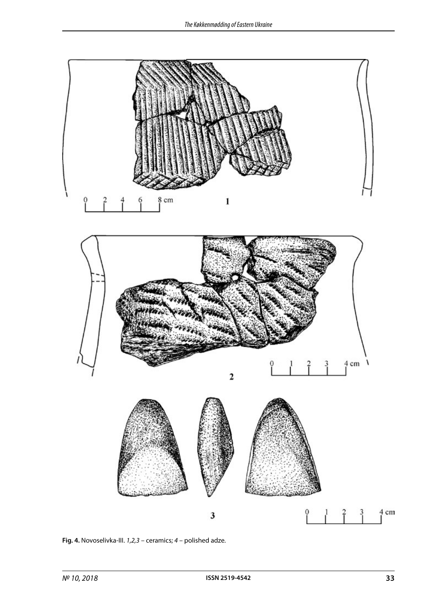

**Fig. 4.** Novoselivka-III. *1,2,3* – ceramics; *4* – polished adze.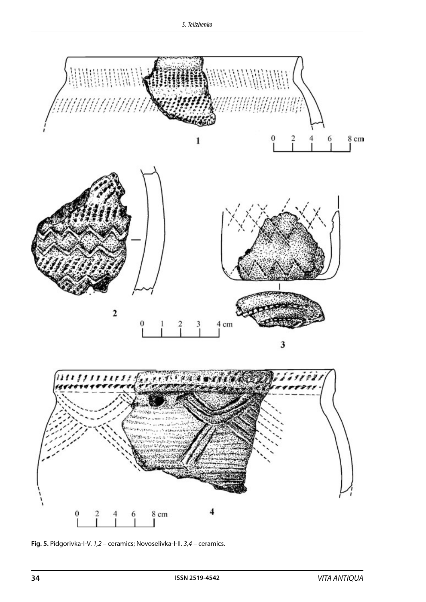

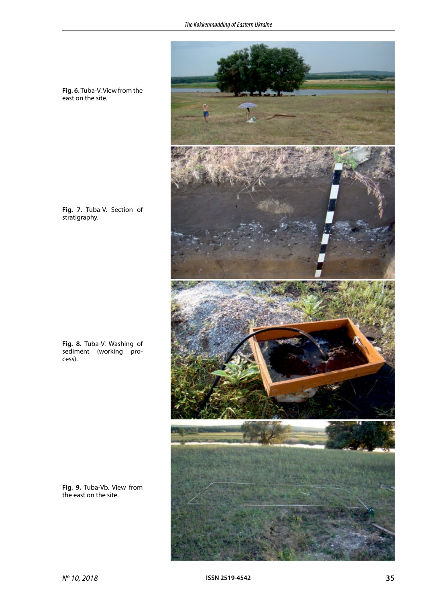

**Fig. 6.** Tuba-V. View from the east on the site.

**Fig. 7.** Tuba-V. Section of stratigraphy.

**Fig. 8.** Tuba-V. Washing of sediment (working process).

**Fig. 9.** Tuba-Vb. View from the east on the site.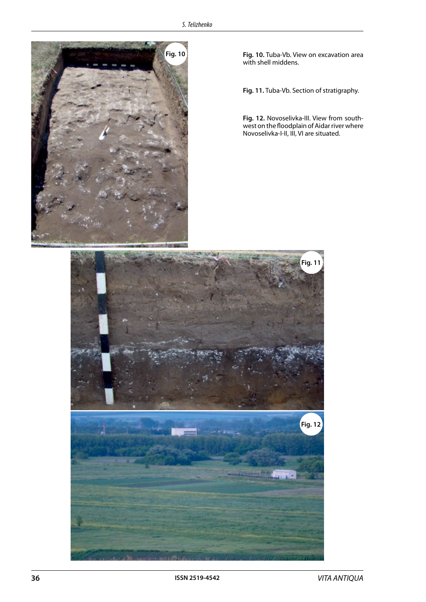

**Fig. 10.** Tuba-Vb. View on excavation area with shell middens.

**Fig. 11.** Tuba-Vb. Section of stratigraphy.

**Fig. 12.** Novoselivka-III. View from southwest on the floodplain of Aidar river where Novoselivka-I-II, III, VI are situated.